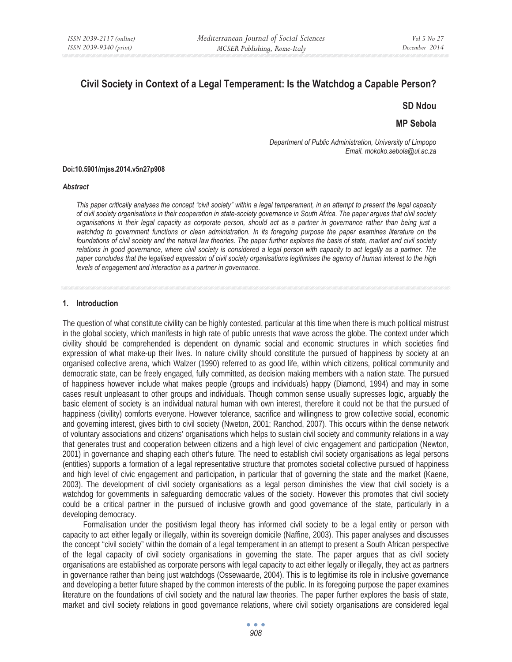# **Civil Society in Context of a Legal Temperament: Is the Watchdog a Capable Person?**

**SD Ndou** 

**MP Sebola** 

*Department of Public Administration, University of Limpopo Email. mokoko.sebola@ul.ac.za* 

#### **Doi:10.5901/mjss.2014.v5n27p908**

#### *Abstract*

*This paper critically analyses the concept "civil society" within a legal temperament, in an attempt to present the legal capacity of civil society organisations in their cooperation in state-society governance in South Africa. The paper argues that civil society organisations in their legal capacity as corporate person, should act as a partner in governance rather than being just a*  watchdog to government functions or clean administration. In its foregoing purpose the paper examines literature on the *foundations of civil society and the natural law theories. The paper further explores the basis of state, market and civil society relations in good governance, where civil society is considered a legal person with capacity to act legally as a partner. The paper concludes that the legalised expression of civil society organisations legitimises the agency of human interest to the high levels of engagement and interaction as a partner in governance.* 

#### **1. Introduction**

The question of what constitute civility can be highly contested, particular at this time when there is much political mistrust in the global society, which manifests in high rate of public unrests that wave across the globe. The context under which civility should be comprehended is dependent on dynamic social and economic structures in which societies find expression of what make-up their lives. In nature civility should constitute the pursued of happiness by society at an organised collective arena, which Walzer (1990) referred to as good life, within which citizens, political community and democratic state, can be freely engaged, fully committed, as decision making members with a nation state. The pursued of happiness however include what makes people (groups and individuals) happy (Diamond, 1994) and may in some cases result unpleasant to other groups and individuals. Though common sense usually supresses logic, arguably the basic element of society is an individual natural human with own interest, therefore it could not be that the pursued of happiness (civility) comforts everyone. However tolerance, sacrifice and willingness to grow collective social, economic and governing interest, gives birth to civil society (Nweton, 2001; Ranchod, 2007). This occurs within the dense network of voluntary associations and citizens' organisations which helps to sustain civil society and community relations in a way that generates trust and cooperation between citizens and a high level of civic engagement and participation (Newton, 2001) in governance and shaping each other's future. The need to establish civil society organisations as legal persons (entities) supports a formation of a legal representative structure that promotes societal collective pursued of happiness and high level of civic engagement and participation, in particular that of governing the state and the market (Kaene, 2003). The development of civil society organisations as a legal person diminishes the view that civil society is a watchdog for governments in safeguarding democratic values of the society. However this promotes that civil society could be a critical partner in the pursued of inclusive growth and good governance of the state, particularly in a developing democracy.

Formalisation under the positivism legal theory has informed civil society to be a legal entity or person with capacity to act either legally or illegally, within its sovereign domicile (Naffine, 2003). This paper analyses and discusses the concept "civil society" within the domain of a legal temperament in an attempt to present a South African perspective of the legal capacity of civil society organisations in governing the state. The paper argues that as civil society organisations are established as corporate persons with legal capacity to act either legally or illegally, they act as partners in governance rather than being just watchdogs (Ossewaarde, 2004). This is to legitimise its role in inclusive governance and developing a better future shaped by the common interests of the public. In its foregoing purpose the paper examines literature on the foundations of civil society and the natural law theories. The paper further explores the basis of state, market and civil society relations in good governance relations, where civil society organisations are considered legal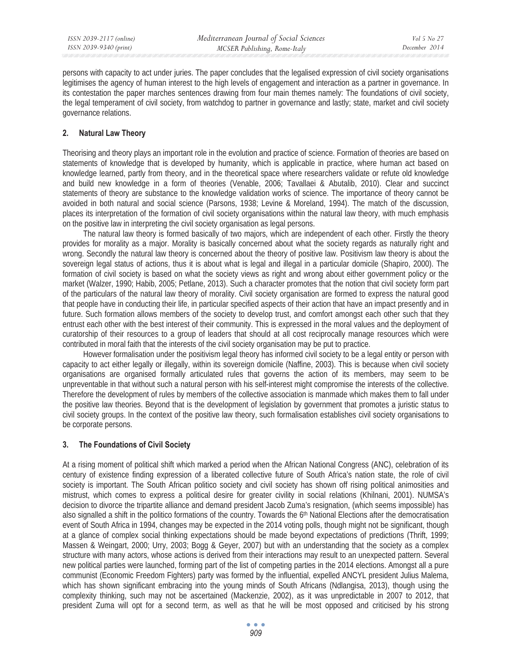persons with capacity to act under juries. The paper concludes that the legalised expression of civil society organisations legitimises the agency of human interest to the high levels of engagement and interaction as a partner in governance. In its contestation the paper marches sentences drawing from four main themes namely: The foundations of civil society, the legal temperament of civil society, from watchdog to partner in governance and lastly; state, market and civil society governance relations.

## **2. Natural Law Theory**

Theorising and theory plays an important role in the evolution and practice of science. Formation of theories are based on statements of knowledge that is developed by humanity, which is applicable in practice, where human act based on knowledge learned, partly from theory, and in the theoretical space where researchers validate or refute old knowledge and build new knowledge in a form of theories (Venable, 2006; Tavallaei & Abutalib, 2010). Clear and succinct statements of theory are substance to the knowledge validation works of science. The importance of theory cannot be avoided in both natural and social science (Parsons, 1938; Levine & Moreland, 1994). The match of the discussion, places its interpretation of the formation of civil society organisations within the natural law theory, with much emphasis on the positive law in interpreting the civil society organisation as legal persons.

The natural law theory is formed basically of two majors, which are independent of each other. Firstly the theory provides for morality as a major. Morality is basically concerned about what the society regards as naturally right and wrong. Secondly the natural law theory is concerned about the theory of positive law. Positivism law theory is about the sovereign legal status of actions, thus it is about what is legal and illegal in a particular domicile (Shapiro, 2000). The formation of civil society is based on what the society views as right and wrong about either government policy or the market (Walzer, 1990; Habib, 2005; Petlane, 2013). Such a character promotes that the notion that civil society form part of the particulars of the natural law theory of morality. Civil society organisation are formed to express the natural good that people have in conducting their life, in particular specified aspects of their action that have an impact presently and in future. Such formation allows members of the society to develop trust, and comfort amongst each other such that they entrust each other with the best interest of their community. This is expressed in the moral values and the deployment of curatorship of their resources to a group of leaders that should at all cost reciprocally manage resources which were contributed in moral faith that the interests of the civil society organisation may be put to practice.

However formalisation under the positivism legal theory has informed civil society to be a legal entity or person with capacity to act either legally or illegally, within its sovereign domicile (Naffine, 2003). This is because when civil society organisations are organised formally articulated rules that governs the action of its members, may seem to be unpreventable in that without such a natural person with his self-interest might compromise the interests of the collective. Therefore the development of rules by members of the collective association is manmade which makes them to fall under the positive law theories. Beyond that is the development of legislation by government that promotes a juristic status to civil society groups. In the context of the positive law theory, such formalisation establishes civil society organisations to be corporate persons.

## **3. The Foundations of Civil Society**

At a rising moment of political shift which marked a period when the African National Congress (ANC), celebration of its century of existence finding expression of a liberated collective future of South Africa's nation state, the role of civil society is important. The South African politico society and civil society has shown off rising political animosities and mistrust, which comes to express a political desire for greater civility in social relations (Khilnani, 2001). NUMSA's decision to divorce the tripartite alliance and demand president Jacob Zuma's resignation, (which seems impossible) has also signalled a shift in the politico formations of the country. Towards the 6<sup>th</sup> National Elections after the democratisation event of South Africa in 1994, changes may be expected in the 2014 voting polls, though might not be significant, though at a glance of complex social thinking expectations should be made beyond expectations of predictions (Thrift, 1999; Massen & Weingart, 2000; Urry, 2003; Bogg & Geyer, 2007) but with an understanding that the society as a complex structure with many actors, whose actions is derived from their interactions may result to an unexpected pattern. Several new political parties were launched, forming part of the list of competing parties in the 2014 elections. Amongst all a pure communist (Economic Freedom Fighters) party was formed by the influential, expelled ANCYL president Julius Malema, which has shown significant embracing into the young minds of South Africans (Ndlangisa, 2013), though using the complexity thinking, such may not be ascertained (Mackenzie, 2002), as it was unpredictable in 2007 to 2012, that president Zuma will opt for a second term, as well as that he will be most opposed and criticised by his strong

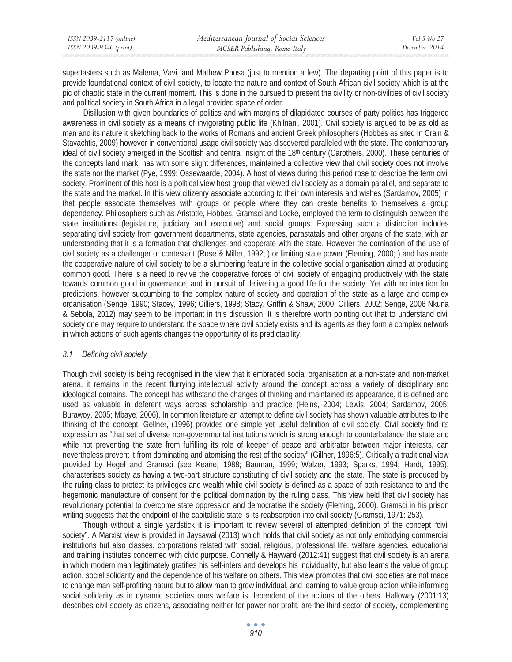| ISSN 2039-2117 (online) | Mediterranean Journal of Social Sciences | Vol 5 No 27   |
|-------------------------|------------------------------------------|---------------|
| ISSN 2039-9340 (print)  | MCSER Publishing, Rome-Italy             | December 2014 |

supertasters such as Malema, Vavi, and Mathew Phosa (just to mention a few). The departing point of this paper is to provide foundational context of civil society, to locate the nature and context of South African civil society which is at the pic of chaotic state in the current moment. This is done in the pursued to present the civility or non-civilities of civil society and political society in South Africa in a legal provided space of order.

Disillusion with given boundaries of politics and with margins of dilapidated courses of party politics has triggered awareness in civil society as a means of invigorating public life (Khilnani, 2001). Civil society is argued to be as old as man and its nature it sketching back to the works of Romans and ancient Greek philosophers (Hobbes as sited in Crain & Stavachtis, 2009) however in conventional usage civil society was discovered paralleled with the state. The contemporary ideal of civil society emerged in the Scottish and central insight of the 18<sup>th</sup> century (Carothers, 2000). These centuries of the concepts land mark, has with some slight differences, maintained a collective view that civil society does not involve the state nor the market (Pye, 1999; Ossewaarde, 2004). A host of views during this period rose to describe the term civil society. Prominent of this host is a political view host group that viewed civil society as a domain parallel, and separate to the state and the market. In this view citizenry associate according to their own interests and wishes (Sardamov, 2005) in that people associate themselves with groups or people where they can create benefits to themselves a group dependency. Philosophers such as Aristotle, Hobbes, Gramsci and Locke, employed the term to distinguish between the state institutions (legislature, judiciary and executive) and social groups. Expressing such a distinction includes separating civil society from government departments, state agencies, parastatals and other organs of the state, with an understanding that it is a formation that challenges and cooperate with the state. However the domination of the use of civil society as a challenger or contestant (Rose & Miller, 1992; ) or limiting state power (Fleming, 2000; ) and has made the cooperative nature of civil society to be a slumbering feature in the collective social organisation aimed at producing common good. There is a need to revive the cooperative forces of civil society of engaging productively with the state towards common good in governance, and in pursuit of delivering a good life for the society. Yet with no intention for predictions, however succumbing to the complex nature of society and operation of the state as a large and complex organisation (Senge, 1990; Stacey, 1996; Cilliers, 1998; Stacy, Griffin & Shaw, 2000; Cilliers, 2002; Senge, 2006 Nkuna & Sebola, 2012) may seem to be important in this discussion. It is therefore worth pointing out that to understand civil society one may require to understand the space where civil society exists and its agents as they form a complex network in which actions of such agents changes the opportunity of its predictability.

## *3.1 Defining civil society*

Though civil society is being recognised in the view that it embraced social organisation at a non-state and non-market arena, it remains in the recent flurrying intellectual activity around the concept across a variety of disciplinary and ideological domains. The concept has withstand the changes of thinking and maintained its appearance, it is defined and used as valuable in deferent ways across scholarship and practice (Heins, 2004; Lewis, 2004; Sardamov, 2005; Burawoy, 2005; Mbaye, 2006). In common literature an attempt to define civil society has shown valuable attributes to the thinking of the concept. Gellner, (1996) provides one simple yet useful definition of civil society. Civil society find its expression as "that set of diverse non-governmental institutions which is strong enough to counterbalance the state and while not preventing the state from fulfilling its role of keeper of peace and arbitrator between major interests, can nevertheless prevent it from dominating and atomising the rest of the society" (Gillner, 1996:5). Critically a traditional view provided by Hegel and Gramsci (see Keane, 1988; Bauman, 1999; Walzer, 1993; Sparks, 1994; Hardt, 1995), characterises society as having a two-part structure constituting of civil society and the state. The state is produced by the ruling class to protect its privileges and wealth while civil society is defined as a space of both resistance to and the hegemonic manufacture of consent for the political domination by the ruling class. This view held that civil society has revolutionary potential to overcome state oppression and democratise the society (Fleming, 2000). Gramsci in his prison writing suggests that the endpoint of the capitalistic state is its reabsorption into civil society (Gramsci, 1971: 253).

Though without a single yardstick it is important to review several of attempted definition of the concept "civil society". A Marxist view is provided in Jaysawal (2013) which holds that civil society as not only embodying commercial institutions but also classes, corporations related with social, religious, professional life, welfare agencies, educational and training institutes concerned with civic purpose. Connelly & Hayward (2012:41) suggest that civil society is an arena in which modern man legitimately gratifies his self-inters and develops his individuality, but also learns the value of group action, social solidarity and the dependence of his welfare on others. This view promotes that civil societies are not made to change man self-profiting nature but to allow man to grow individual, and learning to value group action while informing social solidarity as in dynamic societies ones welfare is dependent of the actions of the others. Halloway (2001:13) describes civil society as citizens, associating neither for power nor profit, are the third sector of society, complementing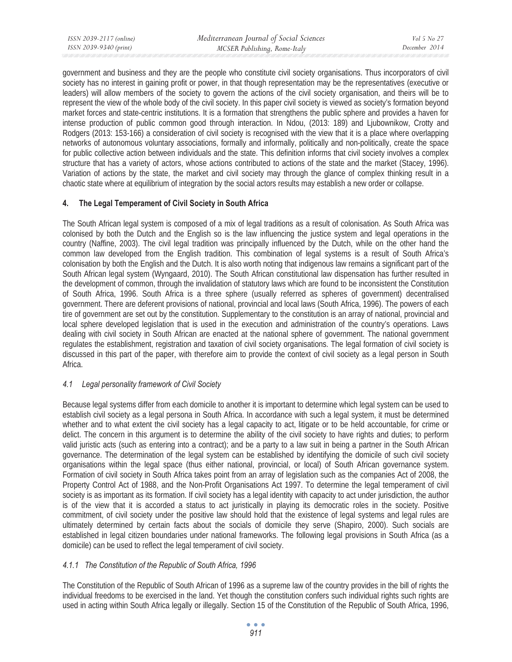government and business and they are the people who constitute civil society organisations. Thus incorporators of civil society has no interest in gaining profit or power, in that though representation may be the representatives (executive or leaders) will allow members of the society to govern the actions of the civil society organisation, and theirs will be to represent the view of the whole body of the civil society. In this paper civil society is viewed as society's formation beyond market forces and state-centric institutions. It is a formation that strengthens the public sphere and provides a haven for intense production of public common good through interaction. In Ndou, (2013: 189) and Ljubownikow, Crotty and Rodgers (2013: 153-166) a consideration of civil society is recognised with the view that it is a place where overlapping networks of autonomous voluntary associations, formally and informally, politically and non-politically, create the space for public collective action between individuals and the state. This definition informs that civil society involves a complex structure that has a variety of actors, whose actions contributed to actions of the state and the market (Stacey, 1996). Variation of actions by the state, the market and civil society may through the glance of complex thinking result in a chaotic state where at equilibrium of integration by the social actors results may establish a new order or collapse.

## **4. The Legal Temperament of Civil Society in South Africa**

The South African legal system is composed of a mix of legal traditions as a result of colonisation. As South Africa was colonised by both the Dutch and the English so is the law influencing the justice system and legal operations in the country (Naffine, 2003). The civil legal tradition was principally influenced by the Dutch, while on the other hand the common law developed from the English tradition. This combination of legal systems is a result of South Africa's colonisation by both the English and the Dutch. It is also worth noting that indigenous law remains a significant part of the South African legal system (Wyngaard, 2010). The South African constitutional law dispensation has further resulted in the development of common, through the invalidation of statutory laws which are found to be inconsistent the Constitution of South Africa, 1996. South Africa is a three sphere (usually referred as spheres of government) decentralised government. There are deferent provisions of national, provincial and local laws (South Africa, 1996). The powers of each tire of government are set out by the constitution. Supplementary to the constitution is an array of national, provincial and local sphere developed legislation that is used in the execution and administration of the country's operations. Laws dealing with civil society in South African are enacted at the national sphere of government. The national government regulates the establishment, registration and taxation of civil society organisations. The legal formation of civil society is discussed in this part of the paper, with therefore aim to provide the context of civil society as a legal person in South Africa.

# *4.1 Legal personality framework of Civil Society*

Because legal systems differ from each domicile to another it is important to determine which legal system can be used to establish civil society as a legal persona in South Africa. In accordance with such a legal system, it must be determined whether and to what extent the civil society has a legal capacity to act, litigate or to be held accountable, for crime or delict. The concern in this argument is to determine the ability of the civil society to have rights and duties; to perform valid juristic acts (such as entering into a contract); and be a party to a law suit in being a partner in the South African governance. The determination of the legal system can be established by identifying the domicile of such civil society organisations within the legal space (thus either national, provincial, or local) of South African governance system. Formation of civil society in South Africa takes point from an array of legislation such as the companies Act of 2008, the Property Control Act of 1988, and the Non-Profit Organisations Act 1997. To determine the legal temperament of civil society is as important as its formation. If civil society has a legal identity with capacity to act under jurisdiction, the author is of the view that it is accorded a status to act juristically in playing its democratic roles in the society. Positive commitment, of civil society under the positive law should hold that the existence of legal systems and legal rules are ultimately determined by certain facts about the socials of domicile they serve (Shapiro, 2000). Such socials are established in legal citizen boundaries under national frameworks. The following legal provisions in South Africa (as a domicile) can be used to reflect the legal temperament of civil society.

# *4.1.1 The Constitution of the Republic of South Africa, 1996*

The Constitution of the Republic of South African of 1996 as a supreme law of the country provides in the bill of rights the individual freedoms to be exercised in the land. Yet though the constitution confers such individual rights such rights are used in acting within South Africa legally or illegally. Section 15 of the Constitution of the Republic of South Africa, 1996,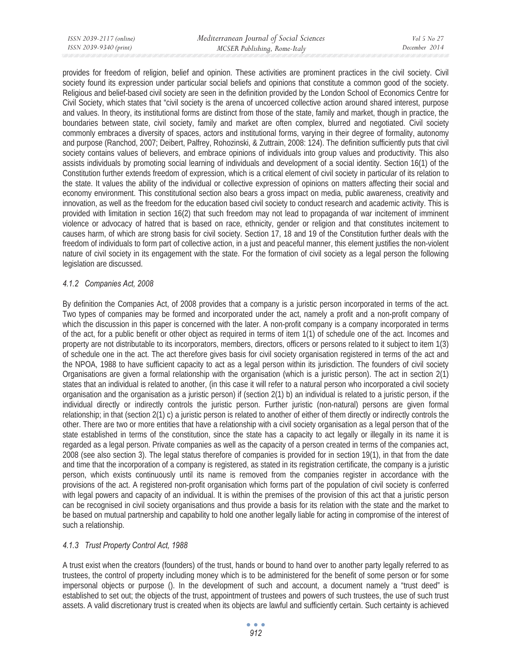| ISSN 2039-2117 (online) | Mediterranean Journal of Social Sciences | Vol 5 No 27   |
|-------------------------|------------------------------------------|---------------|
| ISSN 2039-9340 (print)  | MCSER Publishing, Rome-Italy             | December 2014 |

provides for freedom of religion, belief and opinion. These activities are prominent practices in the civil society. Civil society found its expression under particular social beliefs and opinions that constitute a common good of the society. Religious and belief-based civil society are seen in the definition provided by the London School of Economics Centre for Civil Society, which states that "civil society is the arena of uncoerced collective action around shared interest, purpose and values. In theory, its institutional forms are distinct from those of the state, family and market, though in practice, the boundaries between state, civil society, family and market are often complex, blurred and negotiated. Civil society commonly embraces a diversity of spaces, actors and institutional forms, varying in their degree of formality, autonomy and purpose (Ranchod, 2007; Deibert, Palfrey, Rohozinski, & Zuttrain, 2008: 124). The definition sufficiently puts that civil society contains values of believers, and embrace opinions of individuals into group values and productivity. This also assists individuals by promoting social learning of individuals and development of a social identity. Section 16(1) of the Constitution further extends freedom of expression, which is a critical element of civil society in particular of its relation to the state. It values the ability of the individual or collective expression of opinions on matters affecting their social and economy environment. This constitutional section also bears a gross impact on media, public awareness, creativity and innovation, as well as the freedom for the education based civil society to conduct research and academic activity. This is provided with limitation in section 16(2) that such freedom may not lead to propaganda of war incitement of imminent violence or advocacy of hatred that is based on race, ethnicity, gender or religion and that constitutes incitement to causes harm, of which are strong basis for civil society. Section 17, 18 and 19 of the Constitution further deals with the freedom of individuals to form part of collective action, in a just and peaceful manner, this element justifies the non-violent nature of civil society in its engagement with the state. For the formation of civil society as a legal person the following legislation are discussed.

## *4.1.2 Companies Act, 2008*

By definition the Companies Act, of 2008 provides that a company is a juristic person incorporated in terms of the act. Two types of companies may be formed and incorporated under the act, namely a profit and a non-profit company of which the discussion in this paper is concerned with the later. A non-profit company is a company incorporated in terms of the act, for a public benefit or other object as required in terms of item 1(1) of schedule one of the act. Incomes and property are not distributable to its incorporators, members, directors, officers or persons related to it subject to item 1(3) of schedule one in the act. The act therefore gives basis for civil society organisation registered in terms of the act and the NPOA, 1988 to have sufficient capacity to act as a legal person within its jurisdiction. The founders of civil society Organisations are given a formal relationship with the organisation (which is a juristic person). The act in section 2(1) states that an individual is related to another, (in this case it will refer to a natural person who incorporated a civil society organisation and the organisation as a juristic person) if (section 2(1) b) an individual is related to a juristic person, if the individual directly or indirectly controls the juristic person. Further juristic (non-natural) persons are given formal relationship; in that (section 2(1) c) a juristic person is related to another of either of them directly or indirectly controls the other. There are two or more entities that have a relationship with a civil society organisation as a legal person that of the state established in terms of the constitution, since the state has a capacity to act legally or illegally in its name it is regarded as a legal person. Private companies as well as the capacity of a person created in terms of the companies act, 2008 (see also section 3). The legal status therefore of companies is provided for in section 19(1), in that from the date and time that the incorporation of a company is registered, as stated in its registration certificate, the company is a juristic person, which exists continuously until its name is removed from the companies register in accordance with the provisions of the act. A registered non-profit organisation which forms part of the population of civil society is conferred with legal powers and capacity of an individual. It is within the premises of the provision of this act that a juristic person can be recognised in civil society organisations and thus provide a basis for its relation with the state and the market to be based on mutual partnership and capability to hold one another legally liable for acting in compromise of the interest of such a relationship.

## *4.1.3 Trust Property Control Act, 1988*

A trust exist when the creators (founders) of the trust, hands or bound to hand over to another party legally referred to as trustees, the control of property including money which is to be administered for the benefit of some person or for some impersonal objects or purpose (). In the development of such and account, a document namely a "trust deed" is established to set out; the objects of the trust, appointment of trustees and powers of such trustees, the use of such trust assets. A valid discretionary trust is created when its objects are lawful and sufficiently certain. Such certainty is achieved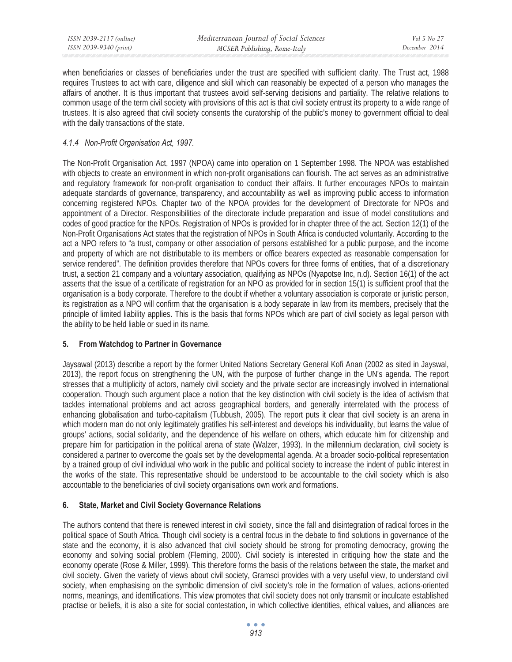*ISSN 2039-2117 (online) ISSN 2039-9340 (print)* 

when beneficiaries or classes of beneficiaries under the trust are specified with sufficient clarity. The Trust act, 1988 requires Trustees to act with care, diligence and skill which can reasonably be expected of a person who manages the affairs of another. It is thus important that trustees avoid self-serving decisions and partiality. The relative relations to common usage of the term civil society with provisions of this act is that civil society entrust its property to a wide range of trustees. It is also agreed that civil society consents the curatorship of the public's money to government official to deal with the daily transactions of the state.

## *4.1.4 Non-Profit Organisation Act, 1997.*

The Non-Profit Organisation Act, 1997 (NPOA) came into operation on 1 September 1998. The NPOA was established with objects to create an environment in which non-profit organisations can flourish. The act serves as an administrative and regulatory framework for non-profit organisation to conduct their affairs. It further encourages NPOs to maintain adequate standards of governance, transparency, and accountability as well as improving public access to information concerning registered NPOs. Chapter two of the NPOA provides for the development of Directorate for NPOs and appointment of a Director. Responsibilities of the directorate include preparation and issue of model constitutions and codes of good practice for the NPOs. Registration of NPOs is provided for in chapter three of the act. Section 12(1) of the Non-Profit Organisations Act states that the registration of NPOs in South Africa is conducted voluntarily. According to the act a NPO refers to "a trust, company or other association of persons established for a public purpose, and the income and property of which are not distributable to its members or office bearers expected as reasonable compensation for service rendered". The definition provides therefore that NPOs covers for three forms of entities, that of a discretionary trust, a section 21 company and a voluntary association, qualifying as NPOs (Nyapotse Inc, n.d). Section 16(1) of the act asserts that the issue of a certificate of registration for an NPO as provided for in section 15(1) is sufficient proof that the organisation is a body corporate. Therefore to the doubt if whether a voluntary association is corporate or juristic person, its registration as a NPO will confirm that the organisation is a body separate in law from its members, precisely that the principle of limited liability applies. This is the basis that forms NPOs which are part of civil society as legal person with the ability to be held liable or sued in its name.

## **5. From Watchdog to Partner in Governance**

Jaysawal (2013) describe a report by the former United Nations Secretary General Kofi Anan (2002 as sited in Jayswal, 2013), the report focus on strengthening the UN, with the purpose of further change in the UN's agenda. The report stresses that a multiplicity of actors, namely civil society and the private sector are increasingly involved in international cooperation. Though such argument place a notion that the key distinction with civil society is the idea of activism that tackles international problems and act across geographical borders, and generally interrelated with the process of enhancing globalisation and turbo-capitalism (Tubbush, 2005). The report puts it clear that civil society is an arena in which modern man do not only legitimately gratifies his self-interest and develops his individuality, but learns the value of groups' actions, social solidarity, and the dependence of his welfare on others, which educate him for citizenship and prepare him for participation in the political arena of state (Walzer, 1993). In the millennium declaration, civil society is considered a partner to overcome the goals set by the developmental agenda. At a broader socio-political representation by a trained group of civil individual who work in the public and political society to increase the indent of public interest in the works of the state. This representative should be understood to be accountable to the civil society which is also accountable to the beneficiaries of civil society organisations own work and formations.

## **6. State, Market and Civil Society Governance Relations**

The authors contend that there is renewed interest in civil society, since the fall and disintegration of radical forces in the political space of South Africa. Though civil society is a central focus in the debate to find solutions in governance of the state and the economy, it is also advanced that civil society should be strong for promoting democracy, growing the economy and solving social problem (Fleming, 2000). Civil society is interested in critiquing how the state and the economy operate (Rose & Miller, 1999). This therefore forms the basis of the relations between the state, the market and civil society. Given the variety of views about civil society, Gramsci provides with a very useful view, to understand civil society, when emphasising on the symbolic dimension of civil society's role in the formation of values, actions-oriented norms, meanings, and identifications. This view promotes that civil society does not only transmit or inculcate established practise or beliefs, it is also a site for social contestation, in which collective identities, ethical values, and alliances are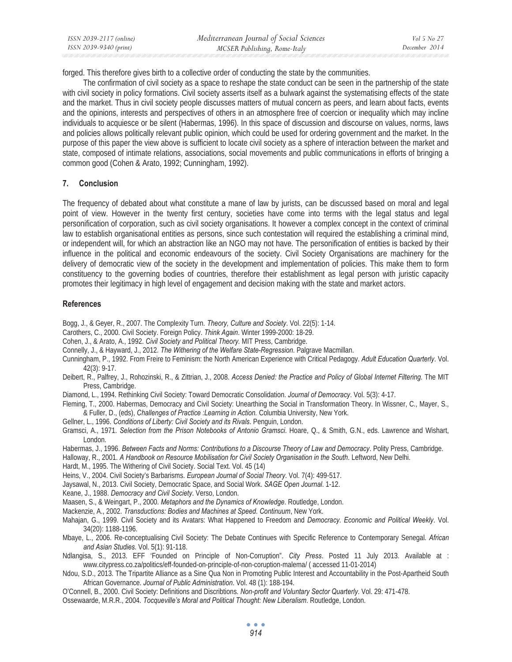forged. This therefore gives birth to a collective order of conducting the state by the communities.

The confirmation of civil society as a space to reshape the state conduct can be seen in the partnership of the state with civil society in policy formations. Civil society asserts itself as a bulwark against the systematising effects of the state and the market. Thus in civil society people discusses matters of mutual concern as peers, and learn about facts, events and the opinions, interests and perspectives of others in an atmosphere free of coercion or inequality which may incline individuals to acquiesce or be silent (Habermas, 1996). In this space of discussion and discourse on values, norms, laws and policies allows politically relevant public opinion, which could be used for ordering government and the market. In the purpose of this paper the view above is sufficient to locate civil society as a sphere of interaction between the market and state, composed of intimate relations, associations, social movements and public communications in efforts of bringing a common good (Cohen & Arato, 1992; Cunningham, 1992).

## **7. Conclusion**

The frequency of debated about what constitute a mane of law by jurists, can be discussed based on moral and legal point of view. However in the twenty first century, societies have come into terms with the legal status and legal personification of corporation, such as civil society organisations. It however a complex concept in the context of criminal law to establish organisational entities as persons, since such contestation will required the establishing a criminal mind, or independent will, for which an abstraction like an NGO may not have. The personification of entities is backed by their influence in the political and economic endeavours of the society. Civil Society Organisations are machinery for the delivery of democratic view of the society in the development and implementation of policies. This make them to form constituency to the governing bodies of countries, therefore their establishment as legal person with juristic capacity promotes their legitimacy in high level of engagement and decision making with the state and market actors.

## **References**

Bogg, J., & Geyer, R., 2007. The Complexity Turn. *Theory, Culture and Society*. Vol. 22(5): 1-14.

Carothers, C., 2000. Civil Society. Foreign Policy. *Think Again*. Winter 1999-2000: 18-29.

- Cohen, J., & Arato, A., 1992. *Civil Society and Political Theory.* MIT Press, Cambridge.
- Connelly, J., & Hayward, J., 2012. *The Withering of the Welfare State-Regression*. Palgrave Macmillan.
- Cunningham, P., 1992. From Freire to Feminism: the North American Experience with Critical Pedagogy. *Adult Education Quarterly*. Vol. 42(3): 9-17.
- Deibert, R., Palfrey, J., Rohozinski, R., & Zittrian, J., 2008. *Access Denied: the Practice and Policy of Global Internet Filtering.* The MIT Press, Cambridge.
- Diamond, L., 1994. Rethinking Civil Society: Toward Democratic Consolidation. *Journal of Democracy*. Vol. 5(3): 4-17.
- Fleming, T., 2000. Habermas, Democracy and Civil Society: Unearthing the Social in Transformation Theory. In Wissner, C., Mayer, S., & Fuller, D., (eds), *Challenges of Practice :Learning in Action.* Columbia University, New York.
- Gellner, L., 1996. *Conditions of Liberty: Civil Society and its Rivals*. Penguin, London.
- Gramsci, A., 1971. *Selection from the Prison Notebooks of Antonio Gramsci*. Hoare, Q., & Smith, G.N., eds. Lawrence and Wishart, London.
- Habermas, J., 1996. *Between Facts and Norms: Contributions to a Discourse Theory of Law and Democracy*. Polity Press, Cambridge.
- Halloway, R., 2001. *A Handbook on Resource Mobilisation for Civil Society Organisation in the South*. Leftword, New Delhi.
- Hardt, M., 1995. The Withering of Civil Society. Social Text. Vol. 45 (14)
- Heins, V., 2004. Civil Society's Barbarisms. *European Journal of Social Theory*. Vol. 7(4): 499-517.
- Jaysawal, N., 2013. Civil Society, Democratic Space, and Social Work. *SAGE Open Journal*. 1-12.
- Keane, J., 1988. *Democracy and Civil Society*. Verso, London.

Maasen, S., & Weingart, P., 2000. *Metaphors and the Dynamics of Knowledge*. Routledge, London.

- Mackenzie, A., 2002. *Transductions: Bodies and Machines at Speed. Continuum*, New York.
- Mahajan, G., 1999. Civil Society and its Avatars: What Happened to Freedom and *Democracy. Economic and Political Weekly*. Vol. 34(20): 1188-1196.
- Mbaye, L., 2006. Re-conceptualising Civil Society: The Debate Continues with Specific Reference to Contemporary Senegal. *African and Asian Studies*. Vol. 5(1): 91-118.
- Ndlangisa, S., 2013. EFF 'Founded on Principle of Non-Corruption". *City Press*. Posted 11 July 2013. Available at : www.citypress.co.za/politics/eff-founded-on-principle-of-non-coruption-malema/ ( accessed 11-01-2014)
- Ndou, S.D., 2013. The Tripartite Alliance as a Sine Qua Non in Promoting Public Interest and Accountability in the Post-Apartheid South African Governance. *Journal of Public Administration*. Vol. 48 (1): 188-194.
- O'Connell, B., 2000. Civil Society: Definitions and Discribtions*. Non-profit and Voluntary Sector Quarterly*. Vol. 29: 471-478.
- Ossewaarde, M.R.R., 2004. *Tocqueville's Moral and Political Thought: New Liberalism*. Routledge, London.